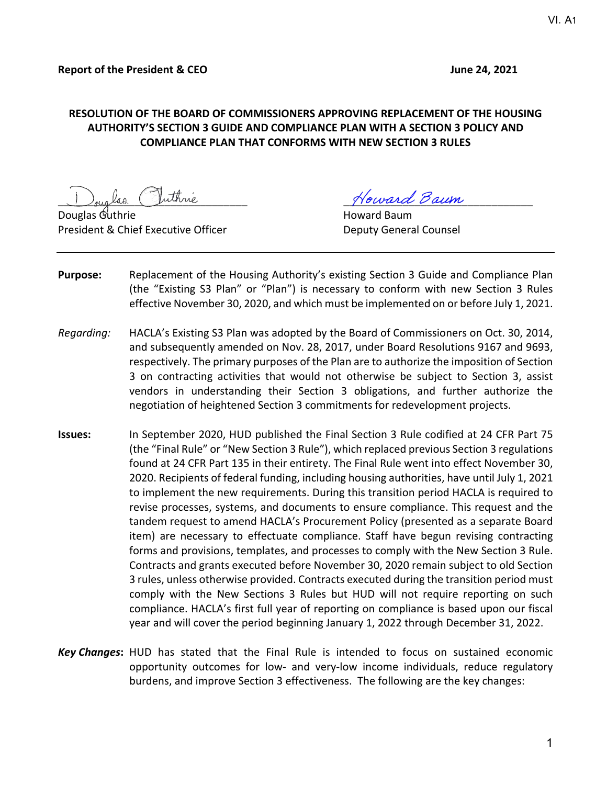#### **RESOLUTION OF THE BOARD OF COMMISSIONERS APPROVING REPLACEMENT OF THE HOUSING AUTHORITY'S SECTION 3 GUIDE AND COMPLIANCE PLAN WITH A SECTION 3 POLICY AND COMPLIANCE PLAN THAT CONFORMS WITH NEW SECTION 3 RULES**

 $\Omega$ Douglas  $\mathcal{C}_1$ uthrie  $\Omega$ President & Chief Executive Officer **Deputy General Counsel** 

<sub>oug</sub>laa Vuthrie 11 Moward Baum

- **Purpose:** Replacement of the Housing Authority's existing Section 3 Guide and Compliance Plan (the "Existing S3 Plan" or "Plan") is necessary to conform with new Section 3 Rules effective November 30, 2020, and which must be implemented on or before July 1, 2021.
- *Regarding:* HACLA's Existing S3 Plan was adopted by the Board of Commissioners on Oct. 30, 2014, and subsequently amended on Nov. 28, 2017, under Board Resolutions 9167 and 9693, respectively. The primary purposes of the Plan are to authorize the imposition of Section 3 on contracting activities that would not otherwise be subject to Section 3, assist vendors in understanding their Section 3 obligations, and further authorize the negotiation of heightened Section 3 commitments for redevelopment projects.
- **Issues:** In September 2020, HUD published the Final Section 3 Rule codified at 24 CFR Part 75 (the "Final Rule" or "New Section 3 Rule"), which replaced previous Section 3 regulations found at 24 CFR Part 135 in their entirety. The Final Rule went into effect November 30, 2020. Recipients of federal funding, including housing authorities, have until July 1, 2021 to implement the new requirements. During this transition period HACLA is required to revise processes, systems, and documents to ensure compliance. This request and the tandem request to amend HACLA's Procurement Policy (presented as a separate Board item) are necessary to effectuate compliance. Staff have begun revising contracting forms and provisions, templates, and processes to comply with the New Section 3 Rule. Contracts and grants executed before November 30, 2020 remain subject to old Section 3 rules, unless otherwise provided. Contracts executed during the transition period must comply with the New Sections 3 Rules but HUD will not require reporting on such compliance. HACLA's first full year of reporting on compliance is based upon our fiscal year and will cover the period beginning January 1, 2022 through December 31, 2022.
- **Key Changes:** HUD has stated that the Final Rule is intended to focus on sustained economic opportunity outcomes for low‐ and very‐low income individuals, reduce regulatory burdens, and improve Section 3 effectiveness. The following are the key changes: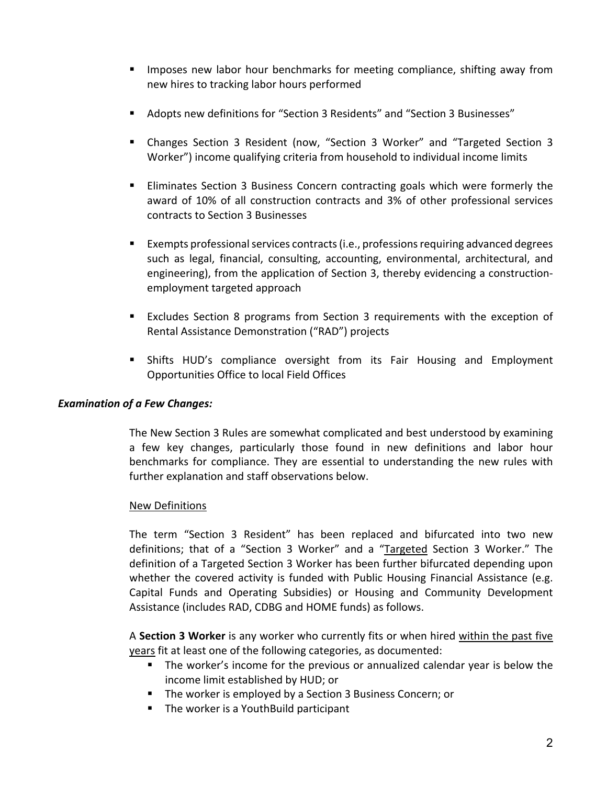- **IMPOLER IS NOTE 1.5 Import IS NOTE 1.5 IMPOLE IS NOTE 1.5 IMPOLE IS NOTE:** Imposes new labor hour both and sompliance, shifting away from new hires to tracking labor hours performed
- Adopts new definitions for "Section 3 Residents" and "Section 3 Businesses"
- Changes Section 3 Resident (now, "Section 3 Worker" and "Targeted Section 3 Worker") income qualifying criteria from household to individual income limits
- Eliminates Section 3 Business Concern contracting goals which were formerly the award of 10% of all construction contracts and 3% of other professional services contracts to Section 3 Businesses
- Exempts professional services contracts (i.e., professions requiring advanced degrees such as legal, financial, consulting, accounting, environmental, architectural, and engineering), from the application of Section 3, thereby evidencing a construction‐ employment targeted approach
- Excludes Section 8 programs from Section 3 requirements with the exception of Rental Assistance Demonstration ("RAD") projects
- Shifts HUD's compliance oversight from its Fair Housing and Employment Opportunities Office to local Field Offices

#### *Examination of a Few Changes:*

The New Section 3 Rules are somewhat complicated and best understood by examining a few key changes, particularly those found in new definitions and labor hour benchmarks for compliance. They are essential to understanding the new rules with further explanation and staff observations below.

#### New Definitions

The term "Section 3 Resident" has been replaced and bifurcated into two new definitions; that of a "Section 3 Worker" and a "Targeted Section 3 Worker." The definition of a Targeted Section 3 Worker has been further bifurcated depending upon whether the covered activity is funded with Public Housing Financial Assistance (e.g. Capital Funds and Operating Subsidies) or Housing and Community Development Assistance (includes RAD, CDBG and HOME funds) as follows.

A **Section 3 Worker** is any worker who currently fits or when hired within the past five years fit at least one of the following categories, as documented:

- **The worker's income for the previous or annualized calendar year is below the** income limit established by HUD; or
- **The worker is employed by a Section 3 Business Concern; or**
- **The worker is a YouthBuild participant**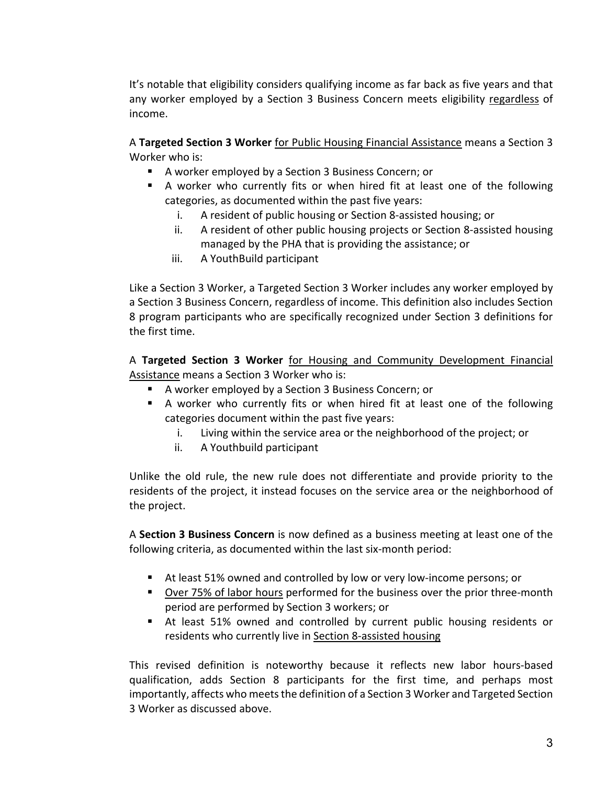It's notable that eligibility considers qualifying income as far back as five years and that any worker employed by a Section 3 Business Concern meets eligibility regardless of income.

A **Targeted Section 3 Worker** for Public Housing Financial Assistance means a Section 3 Worker who is:

- A worker employed by a Section 3 Business Concern; or
- A worker who currently fits or when hired fit at least one of the following categories, as documented within the past five years:
	- i. A resident of public housing or Section 8‐assisted housing; or
	- ii. A resident of other public housing projects or Section 8‐assisted housing managed by the PHA that is providing the assistance; or
	- iii. A YouthBuild participant

Like a Section 3 Worker, a Targeted Section 3 Worker includes any worker employed by a Section 3 Business Concern, regardless of income. This definition also includes Section 8 program participants who are specifically recognized under Section 3 definitions for the first time.

A **Targeted Section 3 Worker** for Housing and Community Development Financial Assistance means a Section 3 Worker who is:

- A worker employed by a Section 3 Business Concern; or
- A worker who currently fits or when hired fit at least one of the following categories document within the past five years:
	- i. Living within the service area or the neighborhood of the project; or
	- ii. A Youthbuild participant

Unlike the old rule, the new rule does not differentiate and provide priority to the residents of the project, it instead focuses on the service area or the neighborhood of the project.

A **Section 3 Business Concern** is now defined as a business meeting at least one of the following criteria, as documented within the last six‐month period:

- At least 51% owned and controlled by low or very low-income persons; or
- Over 75% of labor hours performed for the business over the prior three-month period are performed by Section 3 workers; or
- At least 51% owned and controlled by current public housing residents or residents who currently live in Section 8-assisted housing

This revised definition is noteworthy because it reflects new labor hours‐based qualification, adds Section 8 participants for the first time, and perhaps most importantly, affects who meets the definition of a Section 3 Worker and Targeted Section 3 Worker as discussed above.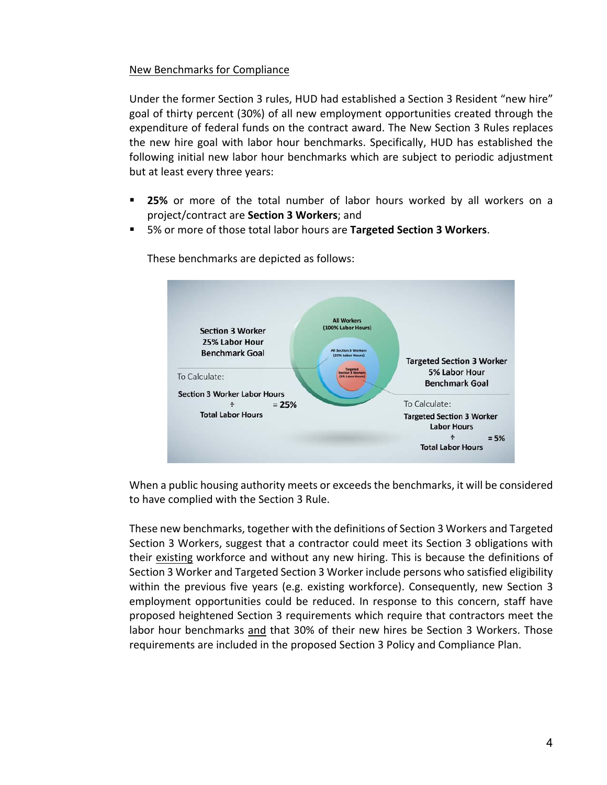#### New Benchmarks for Compliance

Under the former Section 3 rules, HUD had established a Section 3 Resident "new hire" goal of thirty percent (30%) of all new employment opportunities created through the expenditure of federal funds on the contract award. The New Section 3 Rules replaces the new hire goal with labor hour benchmarks. Specifically, HUD has established the following initial new labor hour benchmarks which are subject to periodic adjustment but at least every three years:

- **25%** or more of the total number of labor hours worked by all workers on a project/contract are **Section 3 Workers**; and
- 5% or more of those total labor hours are **Targeted Section 3 Workers**.



These benchmarks are depicted as follows:

When a public housing authority meets or exceeds the benchmarks, it will be considered to have complied with the Section 3 Rule.

These new benchmarks, together with the definitions of Section 3 Workers and Targeted Section 3 Workers, suggest that a contractor could meet its Section 3 obligations with their existing workforce and without any new hiring. This is because the definitions of Section 3 Worker and Targeted Section 3 Worker include persons who satisfied eligibility within the previous five years (e.g. existing workforce). Consequently, new Section 3 employment opportunities could be reduced. In response to this concern, staff have proposed heightened Section 3 requirements which require that contractors meet the labor hour benchmarks and that 30% of their new hires be Section 3 Workers. Those requirements are included in the proposed Section 3 Policy and Compliance Plan.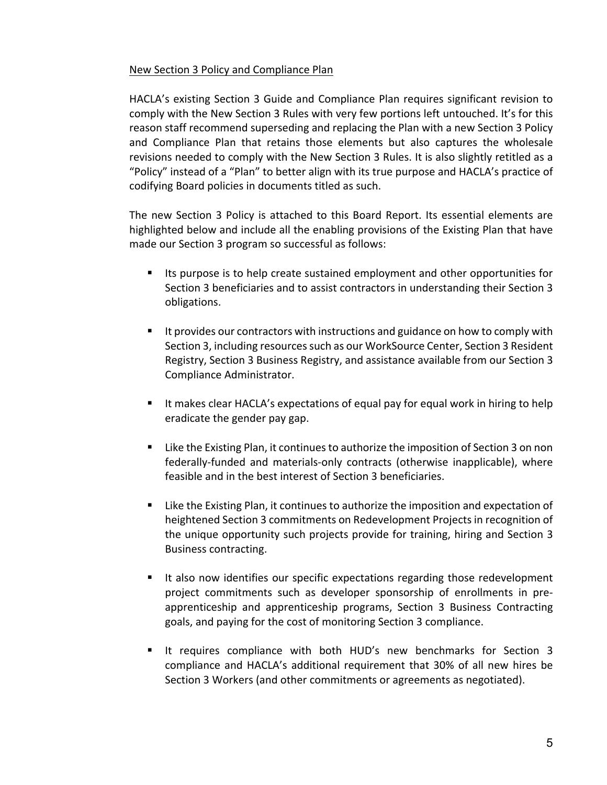#### New Section 3 Policy and Compliance Plan

HACLA's existing Section 3 Guide and Compliance Plan requires significant revision to comply with the New Section 3 Rules with very few portions left untouched. It's for this reason staff recommend superseding and replacing the Plan with a new Section 3 Policy and Compliance Plan that retains those elements but also captures the wholesale revisions needed to comply with the New Section 3 Rules. It is also slightly retitled as a "Policy" instead of a "Plan" to better align with its true purpose and HACLA's practice of codifying Board policies in documents titled as such.

The new Section 3 Policy is attached to this Board Report. Its essential elements are highlighted below and include all the enabling provisions of the Existing Plan that have made our Section 3 program so successful as follows:

- Its purpose is to help create sustained employment and other opportunities for Section 3 beneficiaries and to assist contractors in understanding their Section 3 obligations.
- It provides our contractors with instructions and guidance on how to comply with Section 3, including resources such as our WorkSource Center, Section 3 Resident Registry, Section 3 Business Registry, and assistance available from our Section 3 Compliance Administrator.
- It makes clear HACLA's expectations of equal pay for equal work in hiring to help eradicate the gender pay gap.
- Like the Existing Plan, it continues to authorize the imposition of Section 3 on non federally-funded and materials-only contracts (otherwise inapplicable), where feasible and in the best interest of Section 3 beneficiaries.
- Like the Existing Plan, it continues to authorize the imposition and expectation of heightened Section 3 commitments on Redevelopment Projects in recognition of the unique opportunity such projects provide for training, hiring and Section 3 Business contracting.
- It also now identifies our specific expectations regarding those redevelopment project commitments such as developer sponsorship of enrollments in pre‐ apprenticeship and apprenticeship programs, Section 3 Business Contracting goals, and paying for the cost of monitoring Section 3 compliance.
- It requires compliance with both HUD's new benchmarks for Section 3 compliance and HACLA's additional requirement that 30% of all new hires be Section 3 Workers (and other commitments or agreements as negotiated).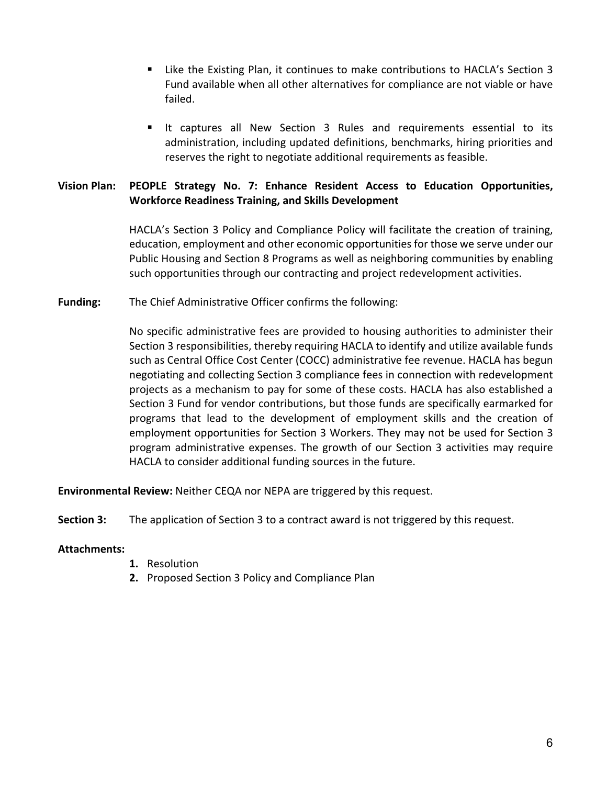- Like the Existing Plan, it continues to make contributions to HACLA's Section 3 Fund available when all other alternatives for compliance are not viable or have failed.
- It captures all New Section 3 Rules and requirements essential to its administration, including updated definitions, benchmarks, hiring priorities and reserves the right to negotiate additional requirements as feasible.

#### **Vision Plan: PEOPLE Strategy No. 7: Enhance Resident Access to Education Opportunities, Workforce Readiness Training, and Skills Development**

HACLA's Section 3 Policy and Compliance Policy will facilitate the creation of training, education, employment and other economic opportunities for those we serve under our Public Housing and Section 8 Programs as well as neighboring communities by enabling such opportunities through our contracting and project redevelopment activities.

**Funding:** The Chief Administrative Officer confirms the following:

No specific administrative fees are provided to housing authorities to administer their Section 3 responsibilities, thereby requiring HACLA to identify and utilize available funds such as Central Office Cost Center (COCC) administrative fee revenue. HACLA has begun negotiating and collecting Section 3 compliance fees in connection with redevelopment projects as a mechanism to pay for some of these costs. HACLA has also established a Section 3 Fund for vendor contributions, but those funds are specifically earmarked for programs that lead to the development of employment skills and the creation of employment opportunities for Section 3 Workers. They may not be used for Section 3 program administrative expenses. The growth of our Section 3 activities may require HACLA to consider additional funding sources in the future.

**Environmental Review:** Neither CEQA nor NEPA are triggered by this request.

**Section 3:**  The application of Section 3 to a contract award is not triggered by this request.

#### **Attachments:**

- **1.** Resolution
- **2.** Proposed Section 3 Policy and Compliance Plan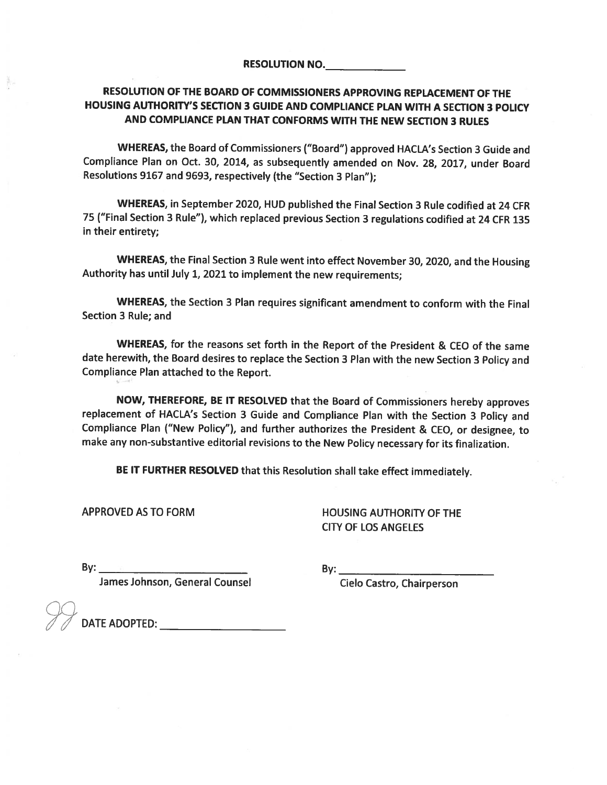#### RESOLUTION OF THE BOARD OF COMMISSIONERS APPROVING REPLACEMENT OF THE HOUSING AUTHORITY'S SECTION 3 GUIDE AND COMPLIANCE PLAN WITH A SECTION 3 POLICY AND COMPLIANCE PLAN THAT CONFORMS WITH THE NEW SECTION 3 RULES

WHEREAS, the Board of Commissioners ("Board") approved HACLA's Section 3 Guide and Compliance Plan on Oct. 30, 2014, as subsequently amended on Nov. 28, 2017, under Board Resolutions 9167 and 9693, respectively (the "Section 3 Plan");

WHEREAS, in September 2020, HUD published the Final Section 3 Rule codified at 24 CFR 75 ("Final Section 3 Rule"), which replaced previous Section 3 regulations codified at 24 CFR 135 in their entirety;

WHEREAS, the Final Section 3 Rule went into effect November 30, 2020, and the Housing Authority has until July 1, 2021 to implement the new requirements;

WHEREAS, the Section 3 Plan requires significant amendment to conform with the Final Section 3 Rule; and

WHEREAS, for the reasons set forth in the Report of the President & CEO of the same date herewith, the Board desires to replace the Section 3 Plan with the new Section 3 Policy and Compliance Plan attached to the Report.

NOW, THEREFORE, BE IT RESOLVED that the Board of Commissioners hereby approves replacement of HACLA's Section 3 Guide and Compliance Plan with the Section 3 Policy and Compliance Plan ("New Policy"), and further authorizes the President & CEO, or designee, to make any non-substantive editorial revisions to the New Policy necessary for its finalization.

BE IT FURTHER RESOLVED that this Resolution shall take effect immediately.

**APPROVED AS TO FORM** 

**HOUSING AUTHORITY OF THE CITY OF LOS ANGELES** 

By:

**The Community of Several Counsel Serves** 

Cielo Castro, Chairperson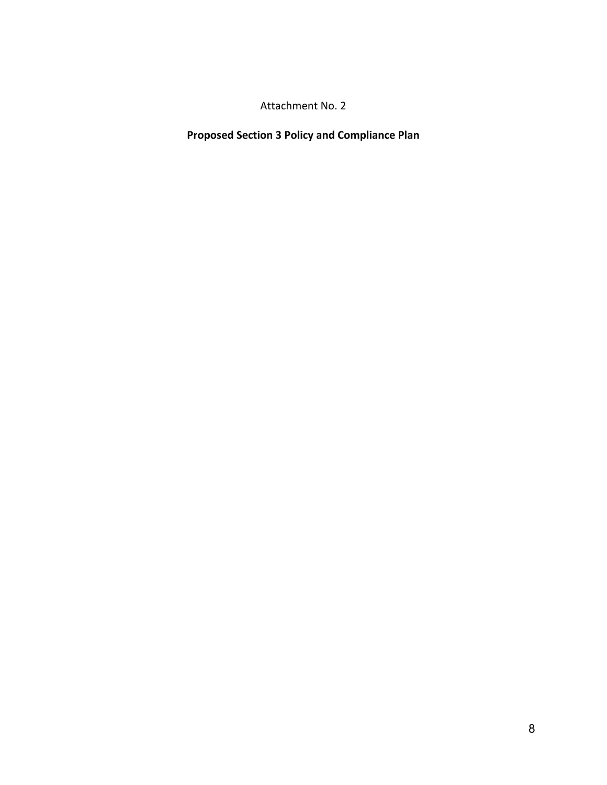Attachment No. 2

**Proposed Section 3 Policy and Compliance Plan**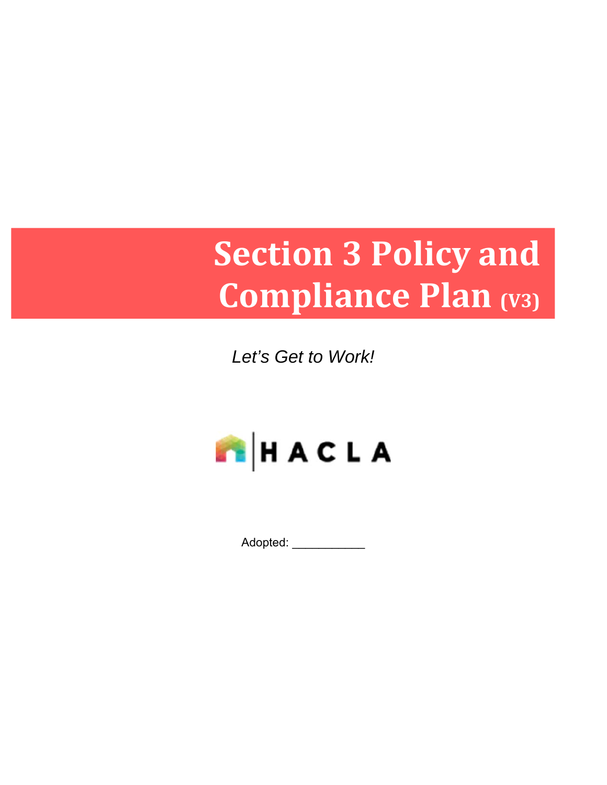# **Section 3 Policy and Compliance Plan (V3)**

*Let's Get to Work!* 



Adopted: \_\_\_\_\_\_\_\_\_\_\_\_\_\_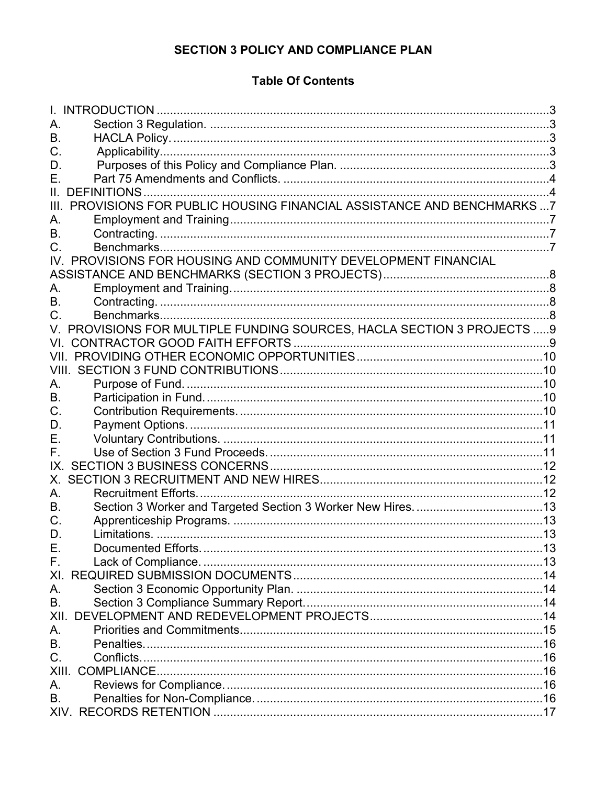## **SECTION 3 POLICY AND COMPLIANCE PLAN**

# **Table Of Contents**

| А.                  |                                                                         |  |
|---------------------|-------------------------------------------------------------------------|--|
| В.                  |                                                                         |  |
| C.                  |                                                                         |  |
| D.                  |                                                                         |  |
| Е.                  |                                                                         |  |
| II. DEFINITIONS.    |                                                                         |  |
|                     | III. PROVISIONS FOR PUBLIC HOUSING FINANCIAL ASSISTANCE AND BENCHMARKS7 |  |
| А.                  |                                                                         |  |
| В.                  |                                                                         |  |
| C.                  |                                                                         |  |
| IV.                 | PROVISIONS FOR HOUSING AND COMMUNITY DEVELOPMENT FINANCIAL              |  |
|                     |                                                                         |  |
| А.                  |                                                                         |  |
| В.                  |                                                                         |  |
| C.                  |                                                                         |  |
|                     | V. PROVISIONS FOR MULTIPLE FUNDING SOURCES, HACLA SECTION 3 PROJECTS  9 |  |
| VL.                 |                                                                         |  |
|                     |                                                                         |  |
|                     |                                                                         |  |
| А.                  |                                                                         |  |
| В.                  |                                                                         |  |
| C.                  |                                                                         |  |
| D.                  |                                                                         |  |
| Е.                  |                                                                         |  |
| F.                  |                                                                         |  |
| IX.                 |                                                                         |  |
| Х.                  |                                                                         |  |
| А.                  |                                                                         |  |
| В.                  |                                                                         |  |
| C.                  |                                                                         |  |
| D.                  |                                                                         |  |
| Ε.                  |                                                                         |  |
| F.                  |                                                                         |  |
| XI.                 |                                                                         |  |
| А.                  |                                                                         |  |
| <b>B.</b>           |                                                                         |  |
| XII.                |                                                                         |  |
| А.                  |                                                                         |  |
| <b>B.</b>           |                                                                         |  |
| C.                  |                                                                         |  |
| XIII.<br>COMPLIANCE |                                                                         |  |
| А.                  |                                                                         |  |
| В.                  |                                                                         |  |
|                     |                                                                         |  |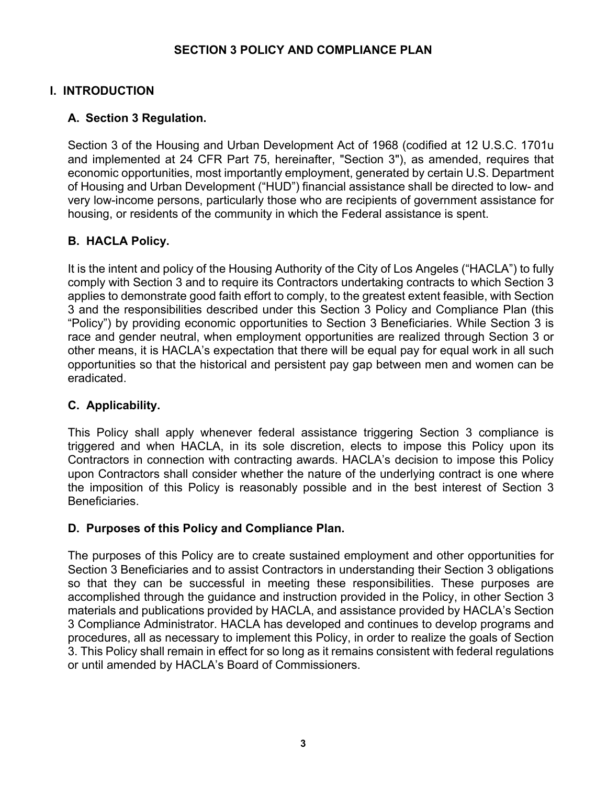#### **SECTION 3 POLICY AND COMPLIANCE PLAN**

## **I. INTRODUCTION**

## **A. Section 3 Regulation.**

Section 3 of the Housing and Urban Development Act of 1968 (codified at 12 U.S.C. 1701u and implemented at 24 CFR Part 75, hereinafter, "Section 3"), as amended, requires that economic opportunities, most importantly employment, generated by certain U.S. Department of Housing and Urban Development ("HUD") financial assistance shall be directed to low- and very low-income persons, particularly those who are recipients of government assistance for housing, or residents of the community in which the Federal assistance is spent.

# **B. HACLA Policy.**

It is the intent and policy of the Housing Authority of the City of Los Angeles ("HACLA") to fully comply with Section 3 and to require its Contractors undertaking contracts to which Section 3 applies to demonstrate good faith effort to comply, to the greatest extent feasible, with Section 3 and the responsibilities described under this Section 3 Policy and Compliance Plan (this "Policy") by providing economic opportunities to Section 3 Beneficiaries. While Section 3 is race and gender neutral, when employment opportunities are realized through Section 3 or other means, it is HACLA's expectation that there will be equal pay for equal work in all such opportunities so that the historical and persistent pay gap between men and women can be eradicated.

## **C. Applicability.**

This Policy shall apply whenever federal assistance triggering Section 3 compliance is triggered and when HACLA, in its sole discretion, elects to impose this Policy upon its Contractors in connection with contracting awards. HACLA's decision to impose this Policy upon Contractors shall consider whether the nature of the underlying contract is one where the imposition of this Policy is reasonably possible and in the best interest of Section 3 Beneficiaries.

## **D. Purposes of this Policy and Compliance Plan.**

The purposes of this Policy are to create sustained employment and other opportunities for Section 3 Beneficiaries and to assist Contractors in understanding their Section 3 obligations so that they can be successful in meeting these responsibilities. These purposes are accomplished through the guidance and instruction provided in the Policy, in other Section 3 materials and publications provided by HACLA, and assistance provided by HACLA's Section 3 Compliance Administrator. HACLA has developed and continues to develop programs and procedures, all as necessary to implement this Policy, in order to realize the goals of Section 3. This Policy shall remain in effect for so long as it remains consistent with federal regulations or until amended by HACLA's Board of Commissioners.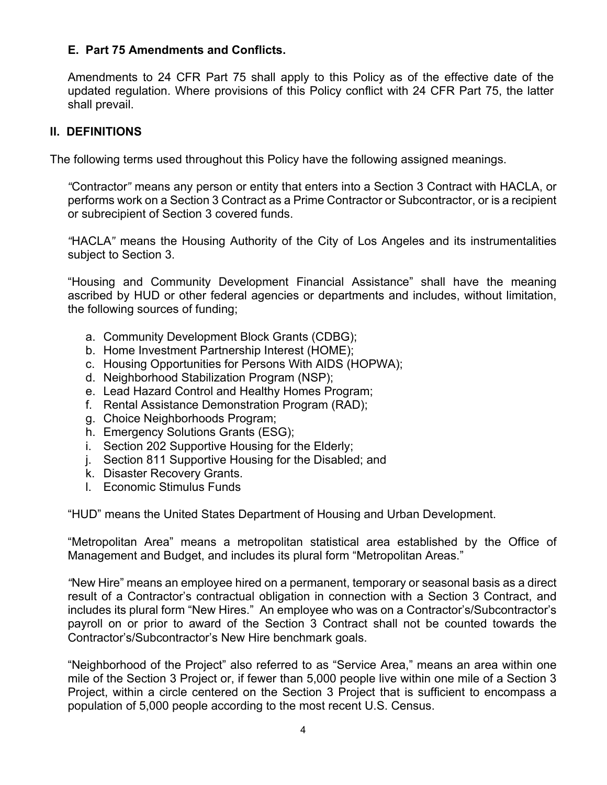#### **E. Part 75 Amendments and Conflicts.**

Amendments to 24 CFR Part 75 shall apply to this Policy as of the effective date of the updated regulation. Where provisions of this Policy conflict with 24 CFR Part 75, the latter shall prevail.

#### **II. DEFINITIONS**

The following terms used throughout this Policy have the following assigned meanings.

*"*Contractor*"* means any person or entity that enters into a Section 3 Contract with HACLA, or performs work on a Section 3 Contract as a Prime Contractor or Subcontractor, or is a recipient or subrecipient of Section 3 covered funds.

*"*HACLA*"* means the Housing Authority of the City of Los Angeles and its instrumentalities subject to Section 3.

"Housing and Community Development Financial Assistance" shall have the meaning ascribed by HUD or other federal agencies or departments and includes, without limitation, the following sources of funding;

- a. Community Development Block Grants (CDBG);
- b. Home Investment Partnership Interest (HOME);
- c. Housing Opportunities for Persons With AIDS (HOPWA);
- d. Neighborhood Stabilization Program (NSP);
- e. Lead Hazard Control and Healthy Homes Program;
- f. Rental Assistance Demonstration Program (RAD);
- g. Choice Neighborhoods Program;
- h. Emergency Solutions Grants (ESG);
- i. Section 202 Supportive Housing for the Elderly;
- j. Section 811 Supportive Housing for the Disabled; and
- k. Disaster Recovery Grants.
- l. Economic Stimulus Funds

"HUD" means the United States Department of Housing and Urban Development.

"Metropolitan Area" means a metropolitan statistical area established by the Office of Management and Budget, and includes its plural form "Metropolitan Areas."

*"*New Hire" means an employee hired on a permanent, temporary or seasonal basis as a direct result of a Contractor's contractual obligation in connection with a Section 3 Contract, and includes its plural form "New Hires." An employee who was on a Contractor's/Subcontractor's payroll on or prior to award of the Section 3 Contract shall not be counted towards the Contractor's/Subcontractor's New Hire benchmark goals.

"Neighborhood of the Project" also referred to as "Service Area," means an area within one mile of the Section 3 Project or, if fewer than 5,000 people live within one mile of a Section 3 Project, within a circle centered on the Section 3 Project that is sufficient to encompass a population of 5,000 people according to the most recent U.S. Census.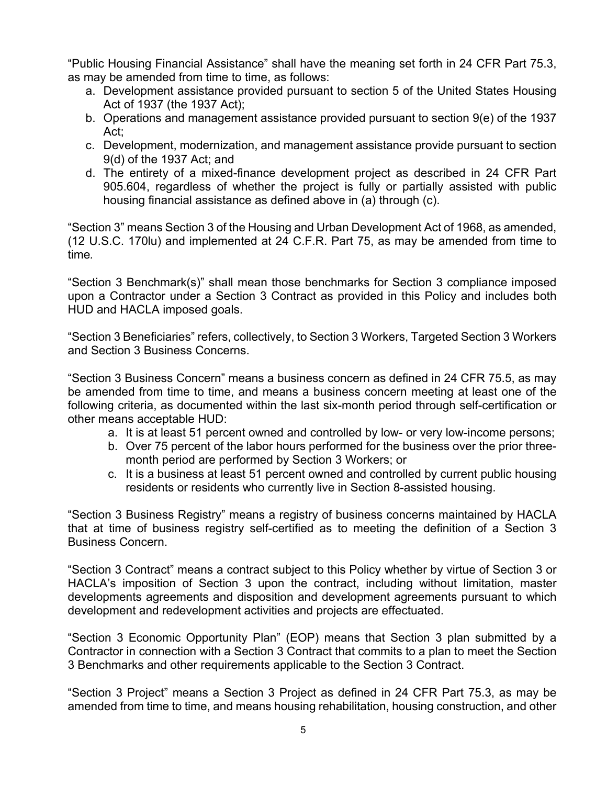"Public Housing Financial Assistance" shall have the meaning set forth in 24 CFR Part 75.3, as may be amended from time to time, as follows:

- a. Development assistance provided pursuant to section 5 of the United States Housing Act of 1937 (the 1937 Act);
- b. Operations and management assistance provided pursuant to section 9(e) of the 1937 Act;
- c. Development, modernization, and management assistance provide pursuant to section 9(d) of the 1937 Act; and
- d. The entirety of a mixed-finance development project as described in 24 CFR Part 905.604, regardless of whether the project is fully or partially assisted with public housing financial assistance as defined above in (a) through (c).

"Section 3" means Section 3 of the Housing and Urban Development Act of 1968, as amended, (12 U.S.C. 170lu) and implemented at 24 C.F.R. Part 75, as may be amended from time to time*.* 

"Section 3 Benchmark(s)" shall mean those benchmarks for Section 3 compliance imposed upon a Contractor under a Section 3 Contract as provided in this Policy and includes both HUD and HACLA imposed goals.

"Section 3 Beneficiaries" refers, collectively, to Section 3 Workers, Targeted Section 3 Workers and Section 3 Business Concerns.

"Section 3 Business Concern" means a business concern as defined in 24 CFR 75.5, as may be amended from time to time, and means a business concern meeting at least one of the following criteria, as documented within the last six-month period through self-certification or other means acceptable HUD:

- a. It is at least 51 percent owned and controlled by low- or very low-income persons;
- b. Over 75 percent of the labor hours performed for the business over the prior threemonth period are performed by Section 3 Workers; or
- c. It is a business at least 51 percent owned and controlled by current public housing residents or residents who currently live in Section 8-assisted housing.

"Section 3 Business Registry" means a registry of business concerns maintained by HACLA that at time of business registry self-certified as to meeting the definition of a Section 3 Business Concern.

"Section 3 Contract" means a contract subject to this Policy whether by virtue of Section 3 or HACLA's imposition of Section 3 upon the contract, including without limitation, master developments agreements and disposition and development agreements pursuant to which development and redevelopment activities and projects are effectuated.

"Section 3 Economic Opportunity Plan" (EOP) means that Section 3 plan submitted by a Contractor in connection with a Section 3 Contract that commits to a plan to meet the Section 3 Benchmarks and other requirements applicable to the Section 3 Contract.

"Section 3 Project" means a Section 3 Project as defined in 24 CFR Part 75.3, as may be amended from time to time, and means housing rehabilitation, housing construction, and other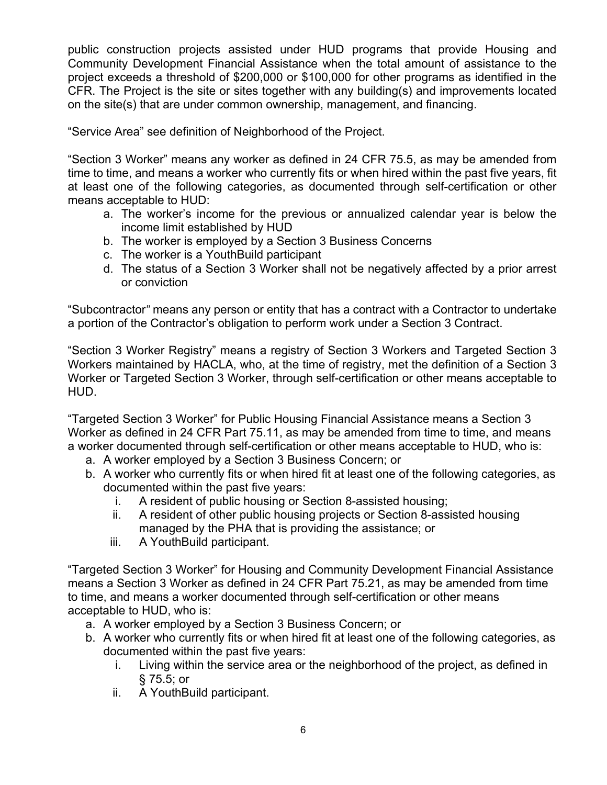public construction projects assisted under HUD programs that provide Housing and Community Development Financial Assistance when the total amount of assistance to the project exceeds a threshold of \$200,000 or \$100,000 for other programs as identified in the CFR. The Project is the site or sites together with any building(s) and improvements located on the site(s) that are under common ownership, management, and financing.

"Service Area" see definition of Neighborhood of the Project.

"Section 3 Worker" means any worker as defined in 24 CFR 75.5, as may be amended from time to time, and means a worker who currently fits or when hired within the past five years, fit at least one of the following categories, as documented through self-certification or other means acceptable to HUD:

- a. The worker's income for the previous or annualized calendar year is below the income limit established by HUD
- b. The worker is employed by a Section 3 Business Concerns
- c. The worker is a YouthBuild participant
- d. The status of a Section 3 Worker shall not be negatively affected by a prior arrest or conviction

"Subcontractor*"* means any person or entity that has a contract with a Contractor to undertake a portion of the Contractor's obligation to perform work under a Section 3 Contract.

"Section 3 Worker Registry" means a registry of Section 3 Workers and Targeted Section 3 Workers maintained by HACLA, who, at the time of registry, met the definition of a Section 3 Worker or Targeted Section 3 Worker, through self-certification or other means acceptable to HUD.

"Targeted Section 3 Worker" for Public Housing Financial Assistance means a Section 3 Worker as defined in 24 CFR Part 75.11, as may be amended from time to time, and means a worker documented through self-certification or other means acceptable to HUD, who is:

- a. A worker employed by a Section 3 Business Concern; or
- b. A worker who currently fits or when hired fit at least one of the following categories, as documented within the past five years:
	- i. A resident of public housing or Section 8-assisted housing;
	- ii. A resident of other public housing projects or Section 8-assisted housing managed by the PHA that is providing the assistance; or
	- iii. A YouthBuild participant.

"Targeted Section 3 Worker" for Housing and Community Development Financial Assistance means a Section 3 Worker as defined in 24 CFR Part 75.21, as may be amended from time to time, and means a worker documented through self-certification or other means acceptable to HUD, who is:

- a. A worker employed by a Section 3 Business Concern; or
- b. A worker who currently fits or when hired fit at least one of the following categories, as documented within the past five years:
	- i. Living within the service area or the neighborhood of the project, as defined in § 75.5; or
	- ii. A YouthBuild participant.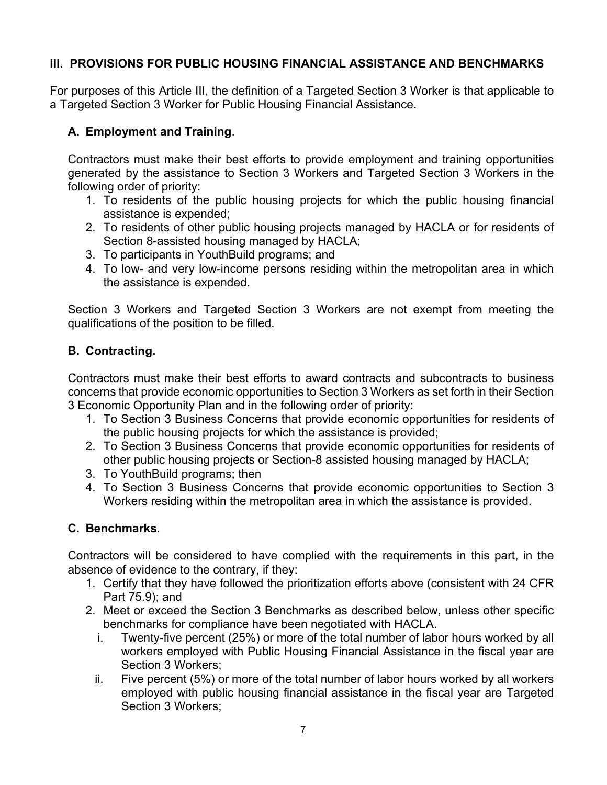## **III. PROVISIONS FOR PUBLIC HOUSING FINANCIAL ASSISTANCE AND BENCHMARKS**

For purposes of this Article III, the definition of a Targeted Section 3 Worker is that applicable to a Targeted Section 3 Worker for Public Housing Financial Assistance.

#### **A. Employment and Training**.

Contractors must make their best efforts to provide employment and training opportunities generated by the assistance to Section 3 Workers and Targeted Section 3 Workers in the following order of priority:

- 1. To residents of the public housing projects for which the public housing financial assistance is expended;
- 2. To residents of other public housing projects managed by HACLA or for residents of Section 8-assisted housing managed by HACLA;
- 3. To participants in YouthBuild programs; and
- 4. To low- and very low-income persons residing within the metropolitan area in which the assistance is expended.

Section 3 Workers and Targeted Section 3 Workers are not exempt from meeting the qualifications of the position to be filled.

## **B. Contracting.**

Contractors must make their best efforts to award contracts and subcontracts to business concerns that provide economic opportunities to Section 3 Workers as set forth in their Section 3 Economic Opportunity Plan and in the following order of priority:

- 1. To Section 3 Business Concerns that provide economic opportunities for residents of the public housing projects for which the assistance is provided;
- 2. To Section 3 Business Concerns that provide economic opportunities for residents of other public housing projects or Section-8 assisted housing managed by HACLA;
- 3. To YouthBuild programs; then
- 4. To Section 3 Business Concerns that provide economic opportunities to Section 3 Workers residing within the metropolitan area in which the assistance is provided.

## **C. Benchmarks**.

Contractors will be considered to have complied with the requirements in this part, in the absence of evidence to the contrary, if they:

- 1. Certify that they have followed the prioritization efforts above (consistent with 24 CFR Part 75.9); and
- 2. Meet or exceed the Section 3 Benchmarks as described below, unless other specific benchmarks for compliance have been negotiated with HACLA.
	- i. Twenty-five percent (25%) or more of the total number of labor hours worked by all workers employed with Public Housing Financial Assistance in the fiscal year are Section 3 Workers;
	- ii. Five percent (5%) or more of the total number of labor hours worked by all workers employed with public housing financial assistance in the fiscal year are Targeted Section 3 Workers;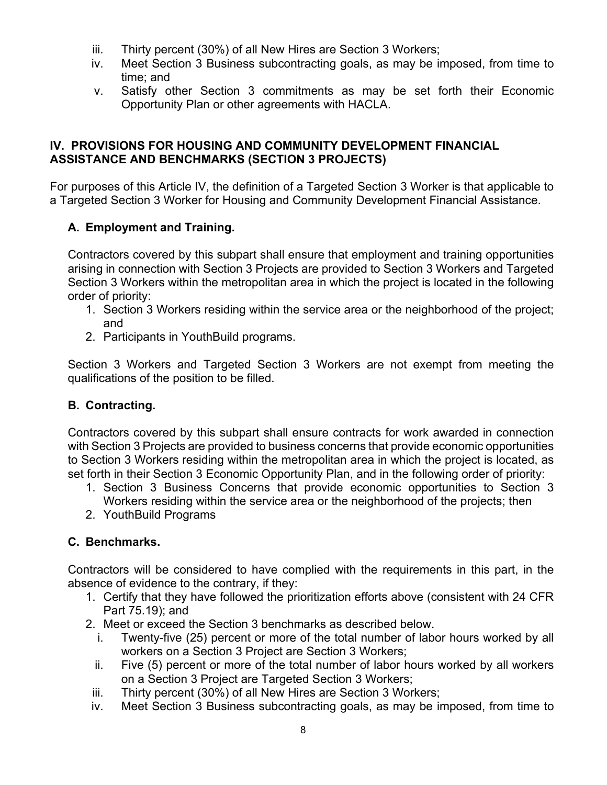- iii. Thirty percent (30%) of all New Hires are Section 3 Workers;
- iv. Meet Section 3 Business subcontracting goals, as may be imposed, from time to time; and
- v. Satisfy other Section 3 commitments as may be set forth their Economic Opportunity Plan or other agreements with HACLA.

## **IV. PROVISIONS FOR HOUSING AND COMMUNITY DEVELOPMENT FINANCIAL ASSISTANCE AND BENCHMARKS (SECTION 3 PROJECTS)**

For purposes of this Article IV, the definition of a Targeted Section 3 Worker is that applicable to a Targeted Section 3 Worker for Housing and Community Development Financial Assistance.

# **A. Employment and Training.**

Contractors covered by this subpart shall ensure that employment and training opportunities arising in connection with Section 3 Projects are provided to Section 3 Workers and Targeted Section 3 Workers within the metropolitan area in which the project is located in the following order of priority:

- 1. Section 3 Workers residing within the service area or the neighborhood of the project; and
- 2. Participants in YouthBuild programs.

Section 3 Workers and Targeted Section 3 Workers are not exempt from meeting the qualifications of the position to be filled.

# **B. Contracting.**

Contractors covered by this subpart shall ensure contracts for work awarded in connection with Section 3 Projects are provided to business concerns that provide economic opportunities to Section 3 Workers residing within the metropolitan area in which the project is located, as set forth in their Section 3 Economic Opportunity Plan, and in the following order of priority:

- 1. Section 3 Business Concerns that provide economic opportunities to Section 3 Workers residing within the service area or the neighborhood of the projects; then
- 2. YouthBuild Programs

# **C. Benchmarks.**

Contractors will be considered to have complied with the requirements in this part, in the absence of evidence to the contrary, if they:

- 1. Certify that they have followed the prioritization efforts above (consistent with 24 CFR Part 75.19); and
- 2. Meet or exceed the Section 3 benchmarks as described below.
	- i. Twenty-five (25) percent or more of the total number of labor hours worked by all workers on a Section 3 Project are Section 3 Workers;
	- ii. Five (5) percent or more of the total number of labor hours worked by all workers on a Section 3 Project are Targeted Section 3 Workers;
- iii. Thirty percent (30%) of all New Hires are Section 3 Workers;
- iv. Meet Section 3 Business subcontracting goals, as may be imposed, from time to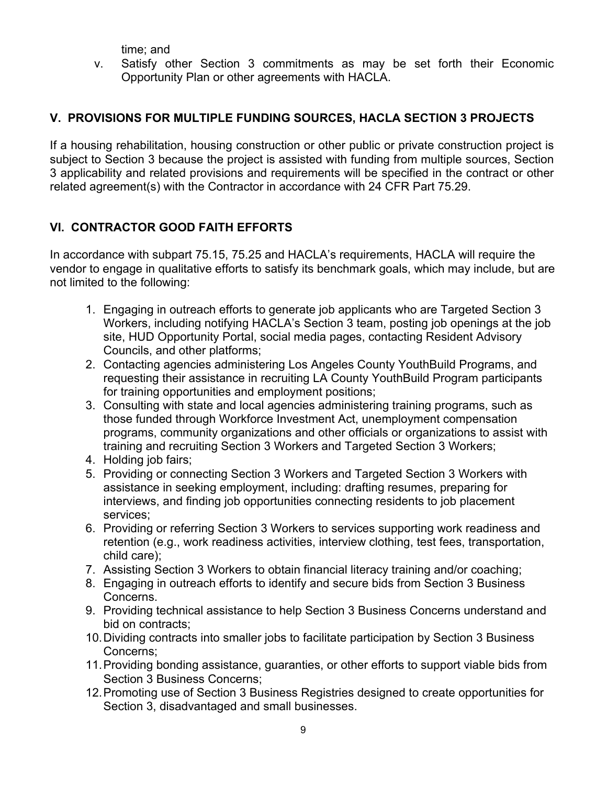time; and

v. Satisfy other Section 3 commitments as may be set forth their Economic Opportunity Plan or other agreements with HACLA.

# **V. PROVISIONS FOR MULTIPLE FUNDING SOURCES, HACLA SECTION 3 PROJECTS**

If a housing rehabilitation, housing construction or other public or private construction project is subject to Section 3 because the project is assisted with funding from multiple sources, Section 3 applicability and related provisions and requirements will be specified in the contract or other related agreement(s) with the Contractor in accordance with 24 CFR Part 75.29.

# **VI. CONTRACTOR GOOD FAITH EFFORTS**

In accordance with subpart 75.15, 75.25 and HACLA's requirements, HACLA will require the vendor to engage in qualitative efforts to satisfy its benchmark goals, which may include, but are not limited to the following:

- 1. Engaging in outreach efforts to generate job applicants who are Targeted Section 3 Workers, including notifying HACLA's Section 3 team, posting job openings at the job site, HUD Opportunity Portal, social media pages, contacting Resident Advisory Councils, and other platforms;
- 2. Contacting agencies administering Los Angeles County YouthBuild Programs, and requesting their assistance in recruiting LA County YouthBuild Program participants for training opportunities and employment positions;
- 3. Consulting with state and local agencies administering training programs, such as those funded through Workforce Investment Act, unemployment compensation programs, community organizations and other officials or organizations to assist with training and recruiting Section 3 Workers and Targeted Section 3 Workers;
- 4. Holding job fairs;
- 5. Providing or connecting Section 3 Workers and Targeted Section 3 Workers with assistance in seeking employment, including: drafting resumes, preparing for interviews, and finding job opportunities connecting residents to job placement services;
- 6. Providing or referring Section 3 Workers to services supporting work readiness and retention (e.g., work readiness activities, interview clothing, test fees, transportation, child care);
- 7. Assisting Section 3 Workers to obtain financial literacy training and/or coaching;
- 8. Engaging in outreach efforts to identify and secure bids from Section 3 Business Concerns.
- 9. Providing technical assistance to help Section 3 Business Concerns understand and bid on contracts;
- 10. Dividing contracts into smaller jobs to facilitate participation by Section 3 Business Concerns;
- 11. Providing bonding assistance, guaranties, or other efforts to support viable bids from Section 3 Business Concerns;
- 12. Promoting use of Section 3 Business Registries designed to create opportunities for Section 3, disadvantaged and small businesses.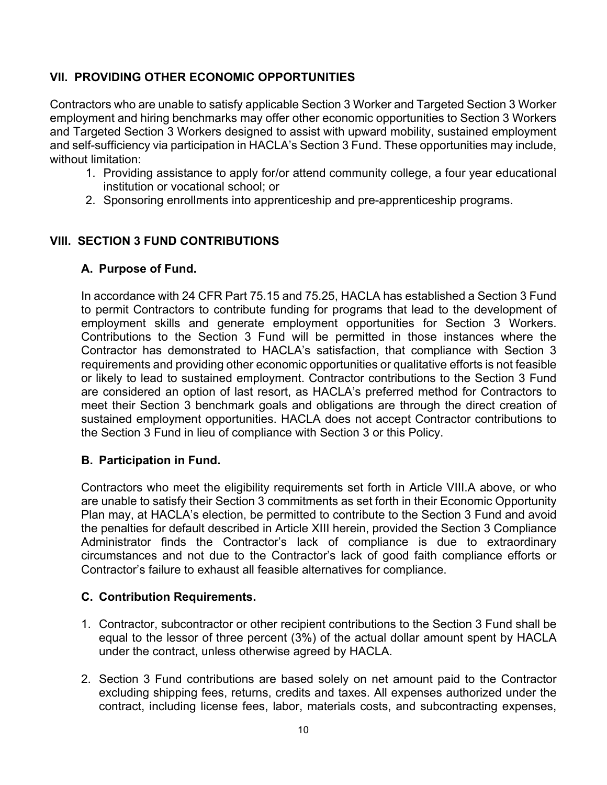## **VII. PROVIDING OTHER ECONOMIC OPPORTUNITIES**

Contractors who are unable to satisfy applicable Section 3 Worker and Targeted Section 3 Worker employment and hiring benchmarks may offer other economic opportunities to Section 3 Workers and Targeted Section 3 Workers designed to assist with upward mobility, sustained employment and self-sufficiency via participation in HACLA's Section 3 Fund. These opportunities may include, without limitation:

- 1. Providing assistance to apply for/or attend community college, a four year educational institution or vocational school; or
- 2. Sponsoring enrollments into apprenticeship and pre-apprenticeship programs.

## **VIII. SECTION 3 FUND CONTRIBUTIONS**

#### **A. Purpose of Fund.**

In accordance with 24 CFR Part 75.15 and 75.25, HACLA has established a Section 3 Fund to permit Contractors to contribute funding for programs that lead to the development of employment skills and generate employment opportunities for Section 3 Workers. Contributions to the Section 3 Fund will be permitted in those instances where the Contractor has demonstrated to HACLA's satisfaction, that compliance with Section 3 requirements and providing other economic opportunities or qualitative efforts is not feasible or likely to lead to sustained employment. Contractor contributions to the Section 3 Fund are considered an option of last resort, as HACLA's preferred method for Contractors to meet their Section 3 benchmark goals and obligations are through the direct creation of sustained employment opportunities. HACLA does not accept Contractor contributions to the Section 3 Fund in lieu of compliance with Section 3 or this Policy.

## **B. Participation in Fund.**

Contractors who meet the eligibility requirements set forth in Article VIII.A above, or who are unable to satisfy their Section 3 commitments as set forth in their Economic Opportunity Plan may, at HACLA's election, be permitted to contribute to the Section 3 Fund and avoid the penalties for default described in Article XIII herein, provided the Section 3 Compliance Administrator finds the Contractor's lack of compliance is due to extraordinary circumstances and not due to the Contractor's lack of good faith compliance efforts or Contractor's failure to exhaust all feasible alternatives for compliance.

## **C. Contribution Requirements.**

- 1. Contractor, subcontractor or other recipient contributions to the Section 3 Fund shall be equal to the lessor of three percent (3%) of the actual dollar amount spent by HACLA under the contract, unless otherwise agreed by HACLA.
- 2. Section 3 Fund contributions are based solely on net amount paid to the Contractor excluding shipping fees, returns, credits and taxes. All expenses authorized under the contract, including license fees, labor, materials costs, and subcontracting expenses,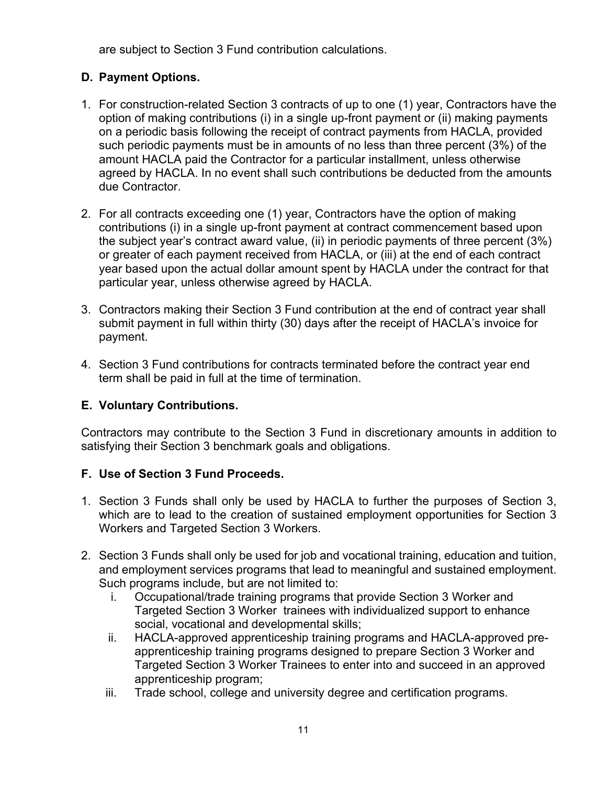are subject to Section 3 Fund contribution calculations.

# **D. Payment Options.**

- 1. For construction-related Section 3 contracts of up to one (1) year, Contractors have the option of making contributions (i) in a single up-front payment or (ii) making payments on a periodic basis following the receipt of contract payments from HACLA, provided such periodic payments must be in amounts of no less than three percent (3%) of the amount HACLA paid the Contractor for a particular installment, unless otherwise agreed by HACLA. In no event shall such contributions be deducted from the amounts due Contractor.
- 2. For all contracts exceeding one (1) year, Contractors have the option of making contributions (i) in a single up-front payment at contract commencement based upon the subject year's contract award value, (ii) in periodic payments of three percent (3%) or greater of each payment received from HACLA, or (iii) at the end of each contract year based upon the actual dollar amount spent by HACLA under the contract for that particular year, unless otherwise agreed by HACLA.
- 3. Contractors making their Section 3 Fund contribution at the end of contract year shall submit payment in full within thirty (30) days after the receipt of HACLA's invoice for payment.
- 4. Section 3 Fund contributions for contracts terminated before the contract year end term shall be paid in full at the time of termination.

# **E. Voluntary Contributions.**

Contractors may contribute to the Section 3 Fund in discretionary amounts in addition to satisfying their Section 3 benchmark goals and obligations.

# **F. Use of Section 3 Fund Proceeds.**

- 1. Section 3 Funds shall only be used by HACLA to further the purposes of Section 3, which are to lead to the creation of sustained employment opportunities for Section 3 Workers and Targeted Section 3 Workers.
- 2. Section 3 Funds shall only be used for job and vocational training, education and tuition, and employment services programs that lead to meaningful and sustained employment. Such programs include, but are not limited to:
	- i. Occupational/trade training programs that provide Section 3 Worker and Targeted Section 3 Worker trainees with individualized support to enhance social, vocational and developmental skills;
	- ii. HACLA-approved apprenticeship training programs and HACLA-approved preapprenticeship training programs designed to prepare Section 3 Worker and Targeted Section 3 Worker Trainees to enter into and succeed in an approved apprenticeship program;
	- iii. Trade school, college and university degree and certification programs.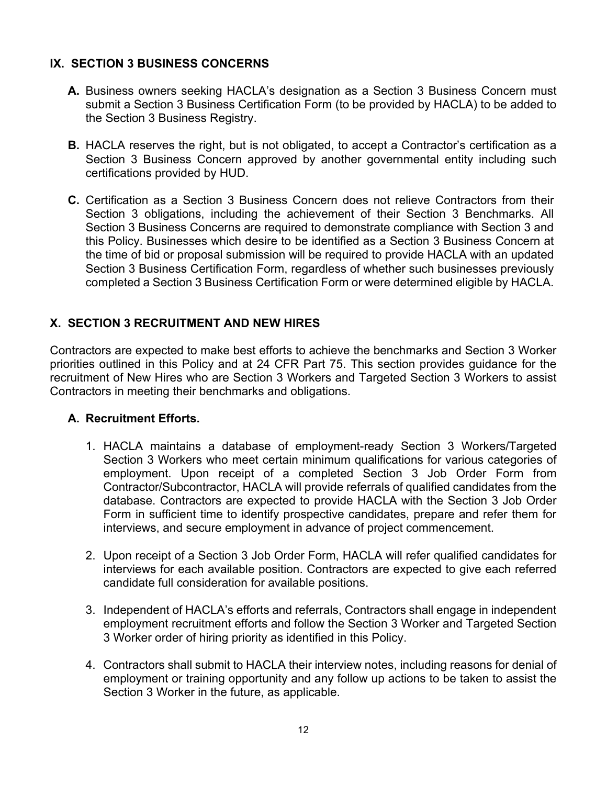#### **IX. SECTION 3 BUSINESS CONCERNS**

- **A.** Business owners seeking HACLA's designation as a Section 3 Business Concern must submit a Section 3 Business Certification Form (to be provided by HACLA) to be added to the Section 3 Business Registry.
- **B.** HACLA reserves the right, but is not obligated, to accept a Contractor's certification as a Section 3 Business Concern approved by another governmental entity including such certifications provided by HUD.
- **C.** Certification as a Section 3 Business Concern does not relieve Contractors from their Section 3 obligations, including the achievement of their Section 3 Benchmarks. All Section 3 Business Concerns are required to demonstrate compliance with Section 3 and this Policy. Businesses which desire to be identified as a Section 3 Business Concern at the time of bid or proposal submission will be required to provide HACLA with an updated Section 3 Business Certification Form, regardless of whether such businesses previously completed a Section 3 Business Certification Form or were determined eligible by HACLA.

# **X. SECTION 3 RECRUITMENT AND NEW HIRES**

Contractors are expected to make best efforts to achieve the benchmarks and Section 3 Worker priorities outlined in this Policy and at 24 CFR Part 75. This section provides guidance for the recruitment of New Hires who are Section 3 Workers and Targeted Section 3 Workers to assist Contractors in meeting their benchmarks and obligations.

## **A. Recruitment Efforts.**

- 1. HACLA maintains a database of employment-ready Section 3 Workers/Targeted Section 3 Workers who meet certain minimum qualifications for various categories of employment. Upon receipt of a completed Section 3 Job Order Form from Contractor/Subcontractor, HACLA will provide referrals of qualified candidates from the database. Contractors are expected to provide HACLA with the Section 3 Job Order Form in sufficient time to identify prospective candidates, prepare and refer them for interviews, and secure employment in advance of project commencement.
- 2. Upon receipt of a Section 3 Job Order Form, HACLA will refer qualified candidates for interviews for each available position. Contractors are expected to give each referred candidate full consideration for available positions.
- 3. Independent of HACLA's efforts and referrals, Contractors shall engage in independent employment recruitment efforts and follow the Section 3 Worker and Targeted Section 3 Worker order of hiring priority as identified in this Policy.
- 4. Contractors shall submit to HACLA their interview notes, including reasons for denial of employment or training opportunity and any follow up actions to be taken to assist the Section 3 Worker in the future, as applicable.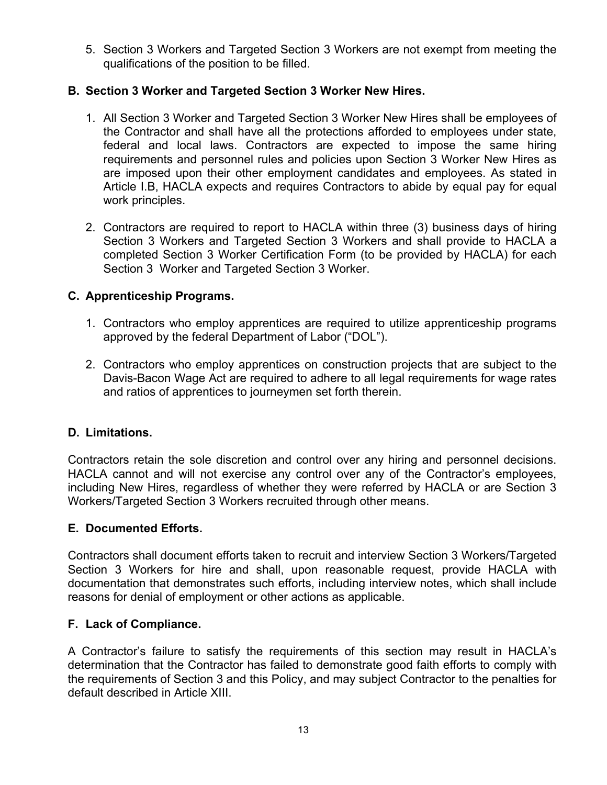5. Section 3 Workers and Targeted Section 3 Workers are not exempt from meeting the qualifications of the position to be filled.

## **B. Section 3 Worker and Targeted Section 3 Worker New Hires.**

- 1. All Section 3 Worker and Targeted Section 3 Worker New Hires shall be employees of the Contractor and shall have all the protections afforded to employees under state, federal and local laws. Contractors are expected to impose the same hiring requirements and personnel rules and policies upon Section 3 Worker New Hires as are imposed upon their other employment candidates and employees. As stated in Article I.B, HACLA expects and requires Contractors to abide by equal pay for equal work principles.
- 2. Contractors are required to report to HACLA within three (3) business days of hiring Section 3 Workers and Targeted Section 3 Workers and shall provide to HACLA a completed Section 3 Worker Certification Form (to be provided by HACLA) for each Section 3 Worker and Targeted Section 3 Worker.

#### **C. Apprenticeship Programs.**

- 1. Contractors who employ apprentices are required to utilize apprenticeship programs approved by the federal Department of Labor ("DOL").
- 2. Contractors who employ apprentices on construction projects that are subject to the Davis-Bacon Wage Act are required to adhere to all legal requirements for wage rates and ratios of apprentices to journeymen set forth therein.

#### **D. Limitations.**

Contractors retain the sole discretion and control over any hiring and personnel decisions. HACLA cannot and will not exercise any control over any of the Contractor's employees, including New Hires, regardless of whether they were referred by HACLA or are Section 3 Workers/Targeted Section 3 Workers recruited through other means.

#### **E. Documented Efforts.**

Contractors shall document efforts taken to recruit and interview Section 3 Workers/Targeted Section 3 Workers for hire and shall, upon reasonable request, provide HACLA with documentation that demonstrates such efforts, including interview notes, which shall include reasons for denial of employment or other actions as applicable.

#### **F. Lack of Compliance.**

A Contractor's failure to satisfy the requirements of this section may result in HACLA's determination that the Contractor has failed to demonstrate good faith efforts to comply with the requirements of Section 3 and this Policy, and may subject Contractor to the penalties for default described in Article XIII.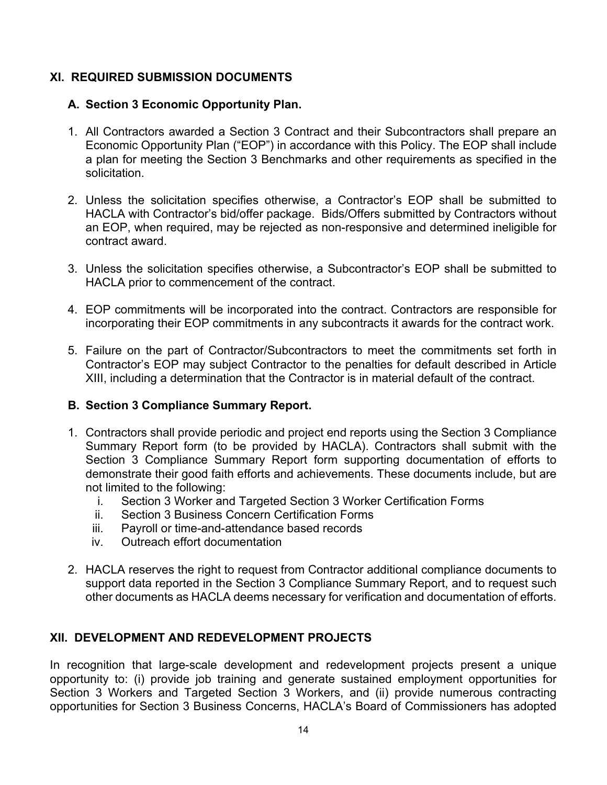## **XI. REQUIRED SUBMISSION DOCUMENTS**

#### **A. Section 3 Economic Opportunity Plan.**

- 1. All Contractors awarded a Section 3 Contract and their Subcontractors shall prepare an Economic Opportunity Plan ("EOP") in accordance with this Policy. The EOP shall include a plan for meeting the Section 3 Benchmarks and other requirements as specified in the solicitation.
- 2. Unless the solicitation specifies otherwise, a Contractor's EOP shall be submitted to HACLA with Contractor's bid/offer package. Bids/Offers submitted by Contractors without an EOP, when required, may be rejected as non-responsive and determined ineligible for contract award.
- 3. Unless the solicitation specifies otherwise, a Subcontractor's EOP shall be submitted to HACLA prior to commencement of the contract.
- 4. EOP commitments will be incorporated into the contract. Contractors are responsible for incorporating their EOP commitments in any subcontracts it awards for the contract work.
- 5. Failure on the part of Contractor/Subcontractors to meet the commitments set forth in Contractor's EOP may subject Contractor to the penalties for default described in Article XIII, including a determination that the Contractor is in material default of the contract.

## **B. Section 3 Compliance Summary Report.**

- 1. Contractors shall provide periodic and project end reports using the Section 3 Compliance Summary Report form (to be provided by HACLA). Contractors shall submit with the Section 3 Compliance Summary Report form supporting documentation of efforts to demonstrate their good faith efforts and achievements. These documents include, but are not limited to the following:
	- i. Section 3 Worker and Targeted Section 3 Worker Certification Forms
	- ii. Section 3 Business Concern Certification Forms
	- iii. Payroll or time-and-attendance based records
	- iv. Outreach effort documentation
- 2. HACLA reserves the right to request from Contractor additional compliance documents to support data reported in the Section 3 Compliance Summary Report, and to request such other documents as HACLA deems necessary for verification and documentation of efforts.

## **XII. DEVELOPMENT AND REDEVELOPMENT PROJECTS**

In recognition that large-scale development and redevelopment projects present a unique opportunity to: (i) provide job training and generate sustained employment opportunities for Section 3 Workers and Targeted Section 3 Workers, and (ii) provide numerous contracting opportunities for Section 3 Business Concerns, HACLA's Board of Commissioners has adopted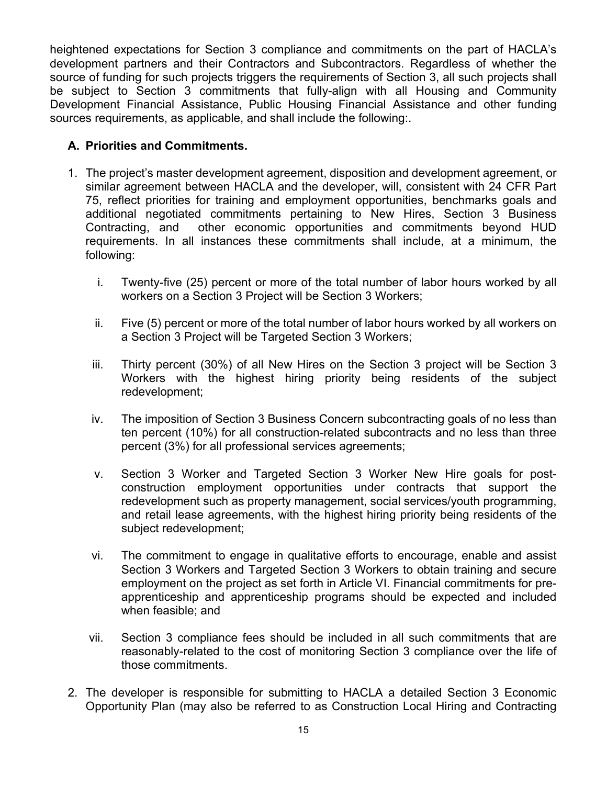heightened expectations for Section 3 compliance and commitments on the part of HACLA's development partners and their Contractors and Subcontractors. Regardless of whether the source of funding for such projects triggers the requirements of Section 3, all such projects shall be subject to Section 3 commitments that fully-align with all Housing and Community Development Financial Assistance, Public Housing Financial Assistance and other funding sources requirements, as applicable, and shall include the following:.

## **A. Priorities and Commitments.**

- 1. The project's master development agreement, disposition and development agreement, or similar agreement between HACLA and the developer, will, consistent with 24 CFR Part 75, reflect priorities for training and employment opportunities, benchmarks goals and additional negotiated commitments pertaining to New Hires, Section 3 Business Contracting, and other economic opportunities and commitments beyond HUD requirements. In all instances these commitments shall include, at a minimum, the following:
	- i. Twenty-five (25) percent or more of the total number of labor hours worked by all workers on a Section 3 Project will be Section 3 Workers;
	- ii. Five (5) percent or more of the total number of labor hours worked by all workers on a Section 3 Project will be Targeted Section 3 Workers;
	- iii. Thirty percent (30%) of all New Hires on the Section 3 project will be Section 3 Workers with the highest hiring priority being residents of the subject redevelopment;
	- iv. The imposition of Section 3 Business Concern subcontracting goals of no less than ten percent (10%) for all construction-related subcontracts and no less than three percent (3%) for all professional services agreements;
	- v. Section 3 Worker and Targeted Section 3 Worker New Hire goals for postconstruction employment opportunities under contracts that support the redevelopment such as property management, social services/youth programming, and retail lease agreements, with the highest hiring priority being residents of the subject redevelopment;
	- vi. The commitment to engage in qualitative efforts to encourage, enable and assist Section 3 Workers and Targeted Section 3 Workers to obtain training and secure employment on the project as set forth in Article VI. Financial commitments for preapprenticeship and apprenticeship programs should be expected and included when feasible; and
	- vii. Section 3 compliance fees should be included in all such commitments that are reasonably-related to the cost of monitoring Section 3 compliance over the life of those commitments.
- 2. The developer is responsible for submitting to HACLA a detailed Section 3 Economic Opportunity Plan (may also be referred to as Construction Local Hiring and Contracting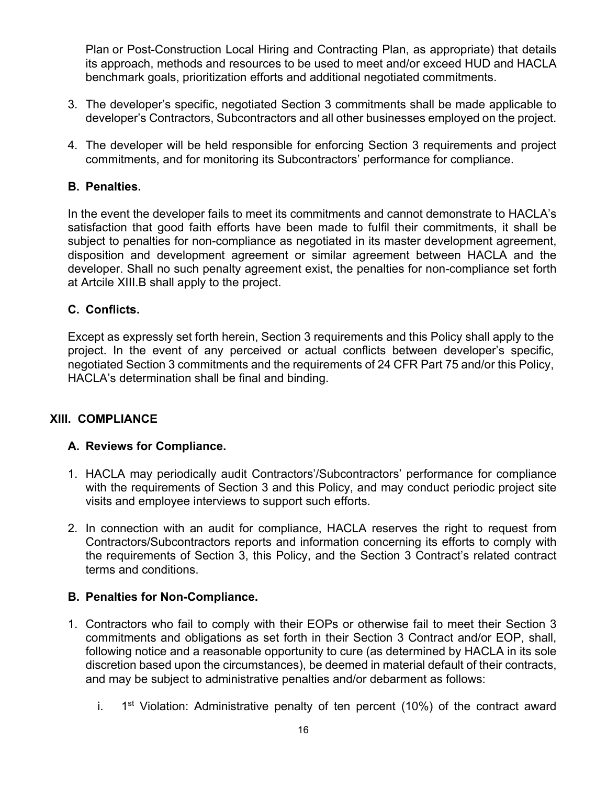Plan or Post-Construction Local Hiring and Contracting Plan, as appropriate) that details its approach, methods and resources to be used to meet and/or exceed HUD and HACLA benchmark goals, prioritization efforts and additional negotiated commitments.

- 3. The developer's specific, negotiated Section 3 commitments shall be made applicable to developer's Contractors, Subcontractors and all other businesses employed on the project.
- 4. The developer will be held responsible for enforcing Section 3 requirements and project commitments, and for monitoring its Subcontractors' performance for compliance.

## **B. Penalties.**

In the event the developer fails to meet its commitments and cannot demonstrate to HACLA's satisfaction that good faith efforts have been made to fulfil their commitments, it shall be subject to penalties for non-compliance as negotiated in its master development agreement, disposition and development agreement or similar agreement between HACLA and the developer. Shall no such penalty agreement exist, the penalties for non-compliance set forth at Artcile XIII.B shall apply to the project.

## **C. Conflicts.**

Except as expressly set forth herein, Section 3 requirements and this Policy shall apply to the project. In the event of any perceived or actual conflicts between developer's specific, negotiated Section 3 commitments and the requirements of 24 CFR Part 75 and/or this Policy, HACLA's determination shall be final and binding.

## **XIII. COMPLIANCE**

## **A. Reviews for Compliance.**

- 1. HACLA may periodically audit Contractors'/Subcontractors' performance for compliance with the requirements of Section 3 and this Policy, and may conduct periodic project site visits and employee interviews to support such efforts.
- 2. In connection with an audit for compliance, HACLA reserves the right to request from Contractors/Subcontractors reports and information concerning its efforts to comply with the requirements of Section 3, this Policy, and the Section 3 Contract's related contract terms and conditions.

## **B. Penalties for Non-Compliance.**

- 1. Contractors who fail to comply with their EOPs or otherwise fail to meet their Section 3 commitments and obligations as set forth in their Section 3 Contract and/or EOP, shall, following notice and a reasonable opportunity to cure (as determined by HACLA in its sole discretion based upon the circumstances), be deemed in material default of their contracts, and may be subject to administrative penalties and/or debarment as follows:
	- i.  $1<sup>st</sup>$  Violation: Administrative penalty of ten percent (10%) of the contract award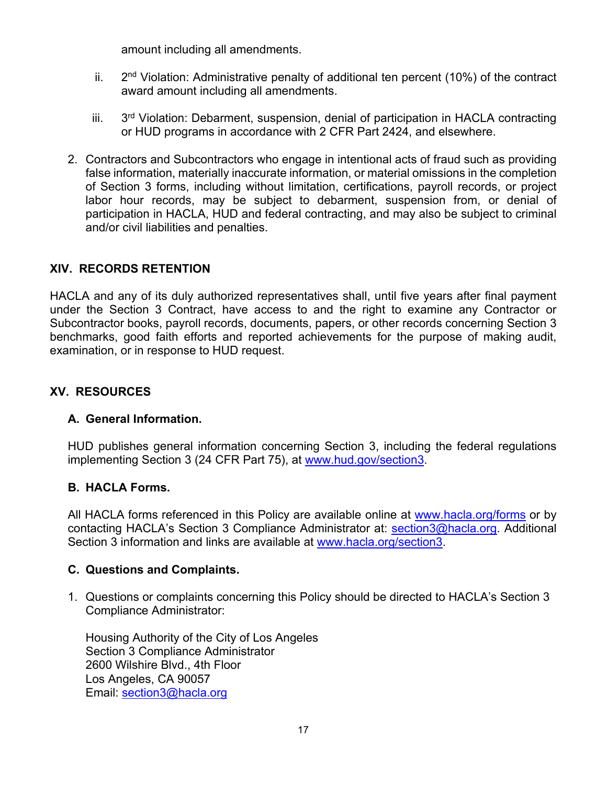amount including all amendments.

- ii.  $2<sup>nd</sup>$  Violation: Administrative penalty of additional ten percent (10%) of the contract award amount including all amendments.
- iii.  $3<sup>rd</sup>$  Violation: Debarment, suspension, denial of participation in HACLA contracting or HUD programs in accordance with 2 CFR Part 2424, and elsewhere.
- 2. Contractors and Subcontractors who engage in intentional acts of fraud such as providing false information, materially inaccurate information, or material omissions in the completion of Section 3 forms, including without limitation, certifications, payroll records, or project labor hour records, may be subject to debarment, suspension from, or denial of participation in HACLA, HUD and federal contracting, and may also be subject to criminal and/or civil liabilities and penalties.

## **XIV. RECORDS RETENTION**

HACLA and any of its duly authorized representatives shall, until five years after final payment under the Section 3 Contract, have access to and the right to examine any Contractor or Subcontractor books, payroll records, documents, papers, or other records concerning Section 3 benchmarks, good faith efforts and reported achievements for the purpose of making audit, examination, or in response to HUD request.

## **XV. RESOURCES**

## **A. General Information.**

HUD publishes general information concerning Section 3, including the federal regulations implementing Section 3 (24 CFR Part 75), at www.hud.gov/section3.

## **B. HACLA Forms.**

All HACLA forms referenced in this Policy are available online at www.hacla.org/forms or by contacting HACLA's Section 3 Compliance Administrator at: section3@hacla.org. Additional Section 3 information and links are available at www.hacla.org/section3.

#### **C. Questions and Complaints.**

1. Questions or complaints concerning this Policy should be directed to HACLA's Section 3 Compliance Administrator:

Housing Authority of the City of Los Angeles Section 3 Compliance Administrator 2600 Wilshire Blvd., 4th Floor Los Angeles, CA 90057 Email: section3@hacla.org